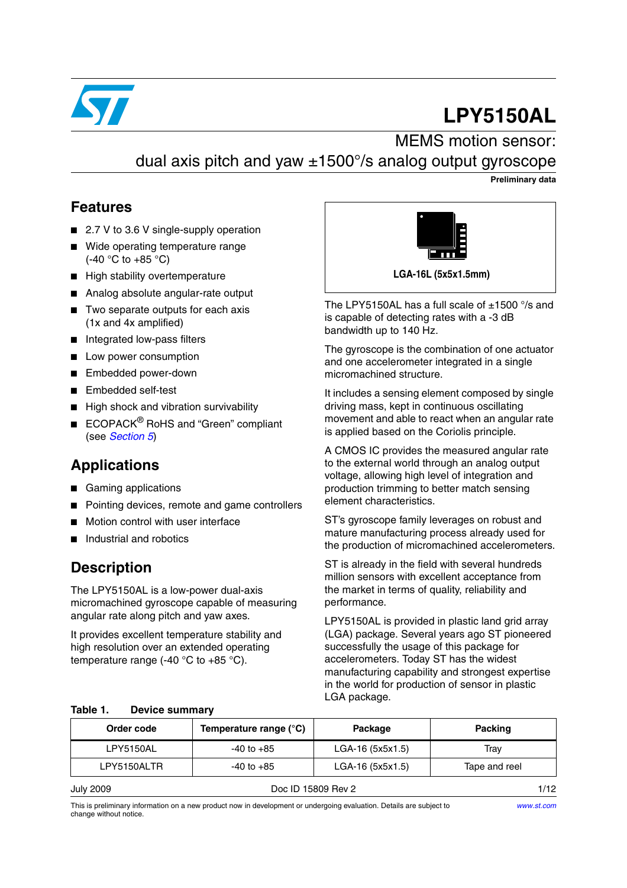

# **LPY5150AL**

# MEMS motion sensor:



#### **Preliminary data**

#### **Features**

- 2.7 V to 3.6 V single-supply operation
- Wide operating temperature range  $(-40 °C)$  to  $+85 °C$ )
- High stability overtemperature
- Analog absolute angular-rate output
- Two separate outputs for each axis (1x and 4x amplified)
- Integrated low-pass filters
- Low power consumption
- Embedded power-down
- Embedded self-test
- High shock and vibration survivability
- ECOPACK<sup>®</sup> RoHS and "Green" compliant (see *[Section 5](#page-9-0)*)

### **Applications**

- Gaming applications
- Pointing devices, remote and game controllers
- Motion control with user interface
- Industrial and robotics

#### **Description**

The LPY5150AL is a low-power dual-axis micromachined gyroscope capable of measuring angular rate along pitch and yaw axes.

It provides excellent temperature stability and high resolution over an extended operating temperature range  $(-40 \degree C)$  to  $+85 \degree C$ ).



The LPY5150AL has a full scale of  $\pm$ 1500 °/s and is capable of detecting rates with a -3 dB bandwidth up to 140 Hz.

The gyroscope is the combination of one actuator and one accelerometer integrated in a single micromachined structure.

It includes a sensing element composed by single driving mass, kept in continuous oscillating movement and able to react when an angular rate is applied based on the Coriolis principle.

A CMOS IC provides the measured angular rate to the external world through an analog output voltage, allowing high level of integration and production trimming to better match sensing element characteristics.

ST's gyroscope family leverages on robust and mature manufacturing process already used for the production of micromachined accelerometers.

ST is already in the field with several hundreds million sensors with excellent acceptance from the market in terms of quality, reliability and performance.

LPY5150AL is provided in plastic land grid array (LGA) package. Several years ago ST pioneered successfully the usage of this package for accelerometers. Today ST has the widest manufacturing capability and strongest expertise in the world for production of sensor in plastic LGA package.

| Order code  | Temperature range (°C) | Package            | Packing       |
|-------------|------------------------|--------------------|---------------|
| LPY5150AL   | $-40$ to $+85$         | LGA-16 (5x5x1.5)   | Trav          |
| LPY5150ALTR | $-40$ to $+85$         | $LGA-16(5x5x1.5)$  | Tape and reel |
| July 2009   |                        | Doc ID 15809 Rev 2 | 1/12          |

#### **Table 1. Device summary**

This is preliminary information on a new product now in development or undergoing evaluation. Details are subject to change without notice.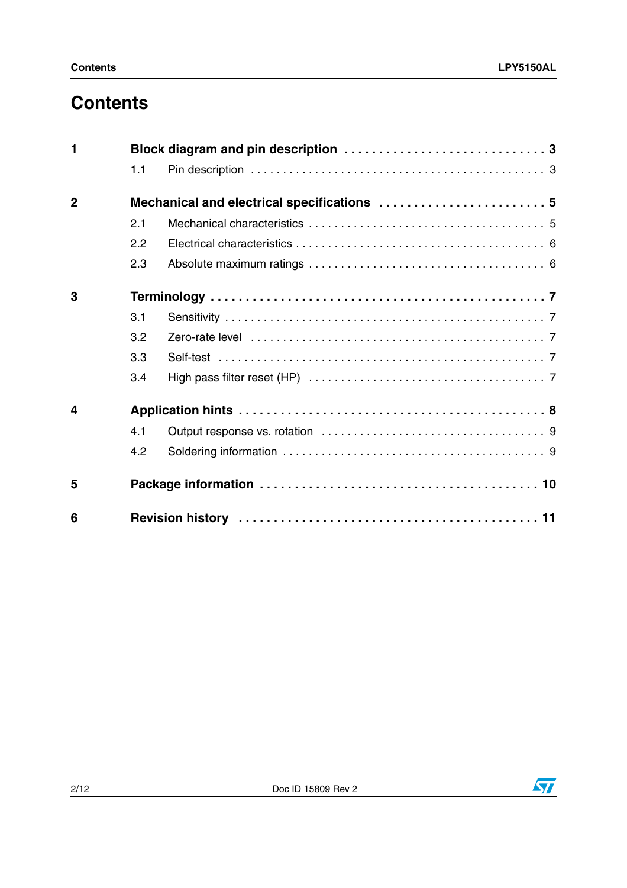# **Contents**

| 1              |     |                                             |  |
|----------------|-----|---------------------------------------------|--|
|                | 1.1 |                                             |  |
| $\overline{2}$ |     | Mechanical and electrical specifications  5 |  |
|                | 2.1 |                                             |  |
|                | 2.2 |                                             |  |
|                | 2.3 |                                             |  |
| 3              |     |                                             |  |
|                | 3.1 |                                             |  |
|                | 3.2 |                                             |  |
|                | 3.3 |                                             |  |
|                | 3.4 |                                             |  |
| 4              |     |                                             |  |
|                | 4.1 |                                             |  |
|                | 4.2 |                                             |  |
| 5              |     |                                             |  |
| 6              |     |                                             |  |

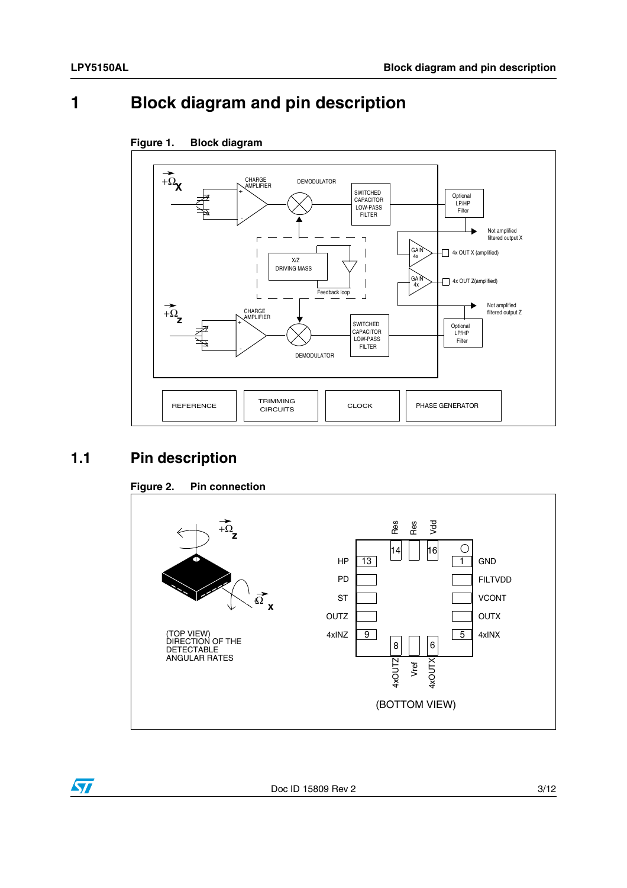## <span id="page-2-0"></span>**1 Block diagram and pin description**



#### **Figure 1. Block diagram**

#### <span id="page-2-1"></span>**1.1 Pin description**

 $\sqrt{2}$ 



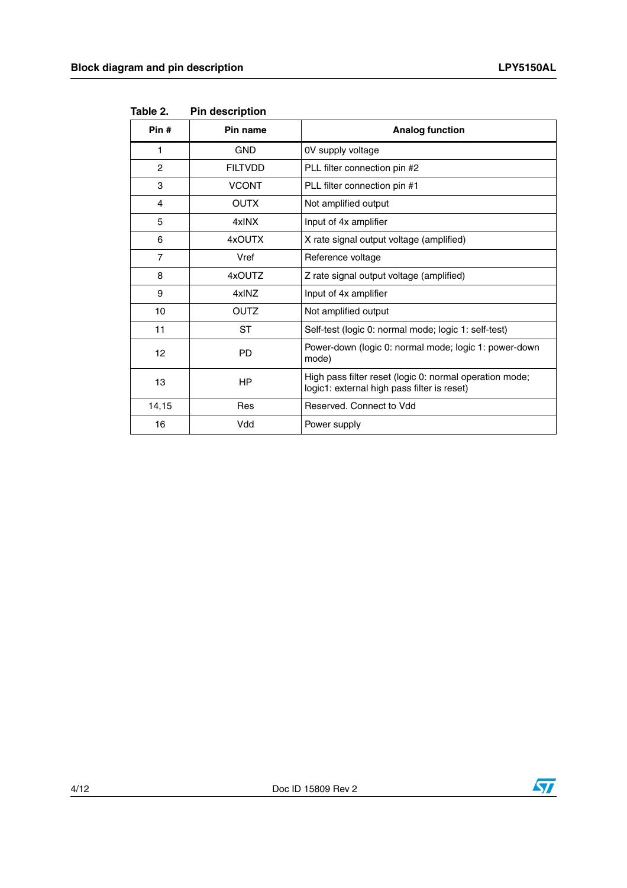| Pin#           | Pin name       | <b>Analog function</b>                                                                                 |
|----------------|----------------|--------------------------------------------------------------------------------------------------------|
| 1              | <b>GND</b>     | 0V supply voltage                                                                                      |
| $\overline{2}$ | <b>FILTVDD</b> | PLL filter connection pin #2                                                                           |
| 3              | <b>VCONT</b>   | PLL filter connection pin #1                                                                           |
| 4              | <b>OUTX</b>    | Not amplified output                                                                                   |
| 5              | 4xINX          | Input of 4x amplifier                                                                                  |
| 6              | 4xOUTX         | X rate signal output voltage (amplified)                                                               |
| 7              | Vref           | Reference voltage                                                                                      |
| 8              | 4xOUTZ         | Z rate signal output voltage (amplified)                                                               |
| 9              | 4xINZ          | Input of 4x amplifier                                                                                  |
| 10             | <b>OUTZ</b>    | Not amplified output                                                                                   |
| 11             | ST             | Self-test (logic 0: normal mode; logic 1: self-test)                                                   |
| 12             | <b>PD</b>      | Power-down (logic 0: normal mode; logic 1: power-down<br>mode)                                         |
| 13             | <b>HP</b>      | High pass filter reset (logic 0: normal operation mode;<br>logic1: external high pass filter is reset) |
| 14,15          | Res            | Reserved, Connect to Vdd                                                                               |
| 16             | Vdd            | Power supply                                                                                           |

**Table 2. Pin description**

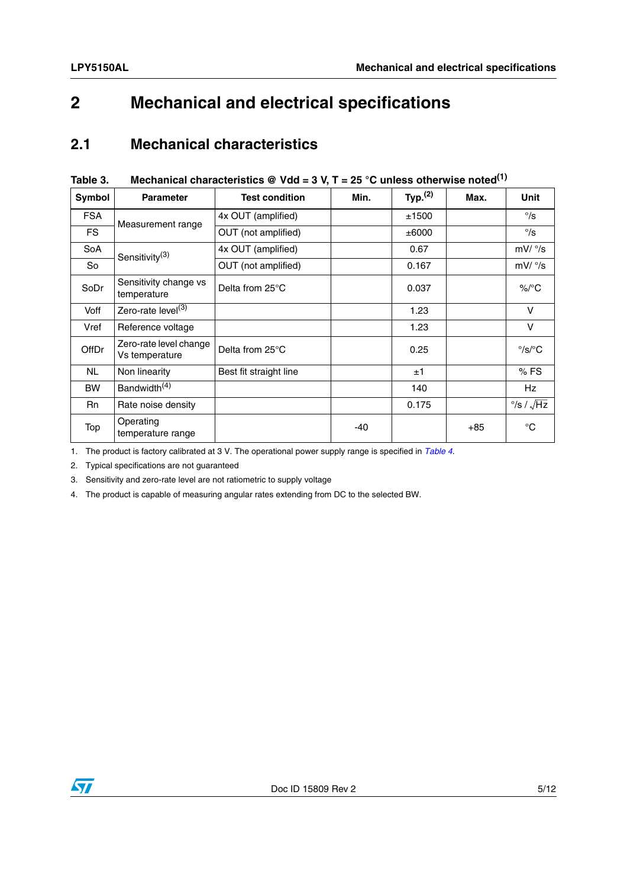## <span id="page-4-0"></span>**2 Mechanical and electrical specifications**

#### <span id="page-4-1"></span>**2.1 Mechanical characteristics**

| iuwiu v.     | $m$ condinodi ondidotonotico $\in$ vuu – $\sigma$ v, $r = 2\sigma$ o dincss otherwise noted |                        |      |                     |       |                                 |
|--------------|---------------------------------------------------------------------------------------------|------------------------|------|---------------------|-------|---------------------------------|
| Symbol       | <b>Parameter</b>                                                                            | <b>Test condition</b>  | Min. | Typ. <sup>(2)</sup> | Max.  | <b>Unit</b>                     |
| <b>FSA</b>   | Measurement range                                                                           | 4x OUT (amplified)     |      | ±1500               |       | $^{\circ}/s$                    |
| FS.          |                                                                                             | OUT (not amplified)    |      | ±6000               |       | $\degree$ /s                    |
| SoA          | Sensitivity <sup>(3)</sup>                                                                  | 4x OUT (amplified)     |      | 0.67                |       | mV/°/s                          |
| So           |                                                                                             | OUT (not amplified)    |      | 0.167               |       | mV/°/s                          |
| SoDr         | Sensitivity change vs<br>temperature                                                        | Delta from 25°C        |      | 0.037               |       | $\%$ /°C                        |
| Voff         | Zero-rate level <sup>(3)</sup>                                                              |                        |      | 1.23                |       | $\vee$                          |
| Vref         | Reference voltage                                                                           |                        |      | 1.23                |       | $\vee$                          |
| <b>OffDr</b> | Zero-rate level change<br>Vs temperature                                                    | Delta from 25°C        |      | 0.25                |       | $\degree$ /s/ $\degree$ C       |
| NL.          | Non linearity                                                                               | Best fit straight line |      | ±1                  |       | $%$ FS                          |
| <b>BW</b>    | Bandwidth <sup>(4)</sup>                                                                    |                        |      | 140                 |       | Hz                              |
| <b>Rn</b>    | Rate noise density                                                                          |                        |      | 0.175               |       | $\frac{\circ}{s}$ / $\sqrt{Hz}$ |
| Top          | Operating<br>temperature range                                                              |                        | -40  |                     | $+85$ | $^{\circ}$ C                    |

#### <span id="page-4-2"></span>**Table 3. Mechanical characteristics @ Vdd = 3 V, T = 25 °C unless otherwise noted(1)**

1. The product is factory calibrated at 3 V. The operational power supply range is specified in *[Table 4](#page-5-2)*.

2. Typical specifications are not guaranteed

3. Sensitivity and zero-rate level are not ratiometric to supply voltage

4. The product is capable of measuring angular rates extending from DC to the selected BW.

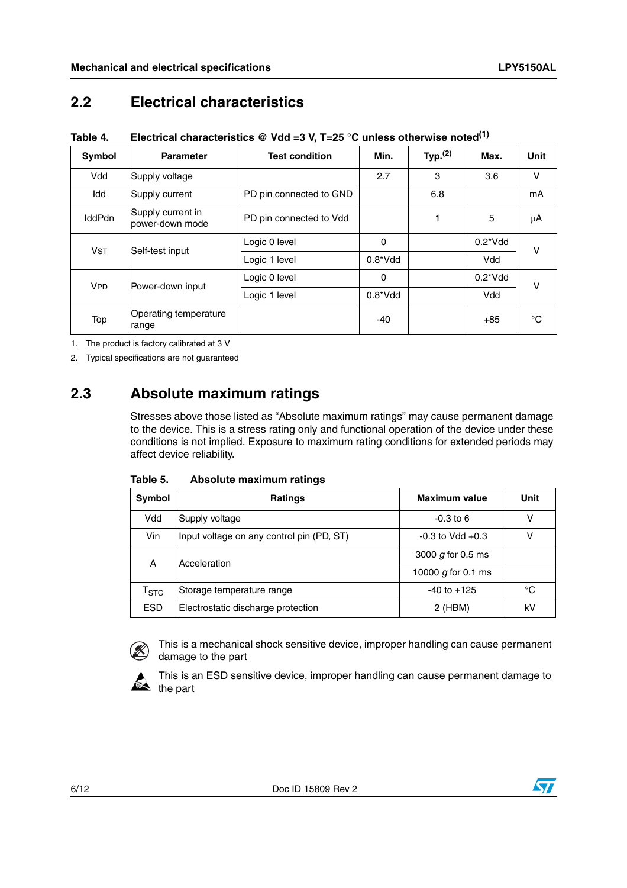#### <span id="page-5-0"></span>**2.2 Electrical characteristics**

<span id="page-5-2"></span>**Table 4. Electrical characteristics @ Vdd =3 V, T=25 °C unless otherwise noted(1)**

| <b>Symbol</b>         | <b>Parameter</b>                     | <b>Test condition</b>   | Min.             | Typ. $(2)$ | Max.             | <b>Unit</b> |
|-----------------------|--------------------------------------|-------------------------|------------------|------------|------------------|-------------|
| Vdd                   | Supply voltage                       |                         | 2.7              | 3          | 3.6              | V           |
| Idd                   | Supply current                       | PD pin connected to GND |                  | 6.8        |                  | mA          |
| <b>IddPdn</b>         | Supply current in<br>power-down mode | PD pin connected to Vdd |                  |            | 5                | μA          |
| <b>V<sub>ST</sub></b> | Self-test input                      | Logic 0 level           | 0                |            | $0.2^{\ast}$ Vdd | v           |
|                       |                                      | Logic 1 level           | $0.8^{\ast}$ Vdd |            | Vdd              |             |
| <b>VPD</b>            | Power-down input                     | Logic 0 level           | $\Omega$         |            | $0.2^{\ast}$ Vdd | v           |
|                       |                                      | Logic 1 level           | $0.8^*V$ dd      |            | Vdd              |             |
| Top                   | Operating temperature<br>range       |                         | -40              |            | $+85$            | °C          |

1. The product is factory calibrated at 3 V

2. Typical specifications are not guaranteed

#### <span id="page-5-1"></span>**2.3 Absolute maximum ratings**

Stresses above those listed as "Absolute maximum ratings" may cause permanent damage to the device. This is a stress rating only and functional operation of the device under these conditions is not implied. Exposure to maximum rating conditions for extended periods may affect device reliability.

| Table 5. | Absolute maximum ratings |  |
|----------|--------------------------|--|
|          |                          |  |

| Symbol                    | <b>Ratings</b>                            | <b>Maximum value</b> | Unit |
|---------------------------|-------------------------------------------|----------------------|------|
| Vdd                       | Supply voltage                            | $-0.3$ to 6          |      |
| Vin                       | Input voltage on any control pin (PD, ST) | $-0.3$ to Vdd $+0.3$ | ν    |
| А                         | Acceleration                              | 3000 $q$ for 0.5 ms  |      |
|                           |                                           | 10000 $q$ for 0.1 ms |      |
| $\mathsf{T}_{\text{STG}}$ | Storage temperature range                 | $-40$ to $+125$      | °C   |
| <b>ESD</b>                | Electrostatic discharge protection        | 2 (HBM)              | k٧   |



This is a mechanical shock sensitive device, improper handling can cause permanent damage to the part



This is an ESD sensitive device, improper handling can cause permanent damage to the part

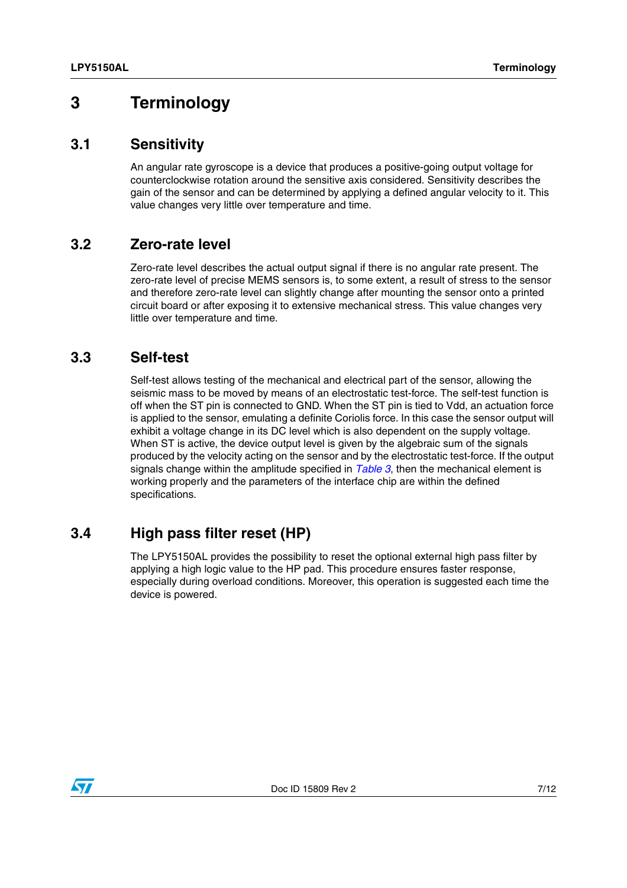### <span id="page-6-0"></span>**3 Terminology**

#### <span id="page-6-1"></span>**3.1 Sensitivity**

An angular rate gyroscope is a device that produces a positive-going output voltage for counterclockwise rotation around the sensitive axis considered. Sensitivity describes the gain of the sensor and can be determined by applying a defined angular velocity to it. This value changes very little over temperature and time.

#### <span id="page-6-2"></span>**3.2 Zero-rate level**

Zero-rate level describes the actual output signal if there is no angular rate present. The zero-rate level of precise MEMS sensors is, to some extent, a result of stress to the sensor and therefore zero-rate level can slightly change after mounting the sensor onto a printed circuit board or after exposing it to extensive mechanical stress. This value changes very little over temperature and time.

#### <span id="page-6-3"></span>**3.3 Self-test**

Self-test allows testing of the mechanical and electrical part of the sensor, allowing the seismic mass to be moved by means of an electrostatic test-force. The self-test function is off when the ST pin is connected to GND. When the ST pin is tied to Vdd, an actuation force is applied to the sensor, emulating a definite Coriolis force. In this case the sensor output will exhibit a voltage change in its DC level which is also dependent on the supply voltage. When ST is active, the device output level is given by the algebraic sum of the signals produced by the velocity acting on the sensor and by the electrostatic test-force. If the output signals change within the amplitude specified in *[Table 3](#page-4-2)*, then the mechanical element is working properly and the parameters of the interface chip are within the defined specifications.

#### <span id="page-6-4"></span>**3.4 High pass filter reset (HP)**

The LPY5150AL provides the possibility to reset the optional external high pass filter by applying a high logic value to the HP pad. This procedure ensures faster response, especially during overload conditions. Moreover, this operation is suggested each time the device is powered.

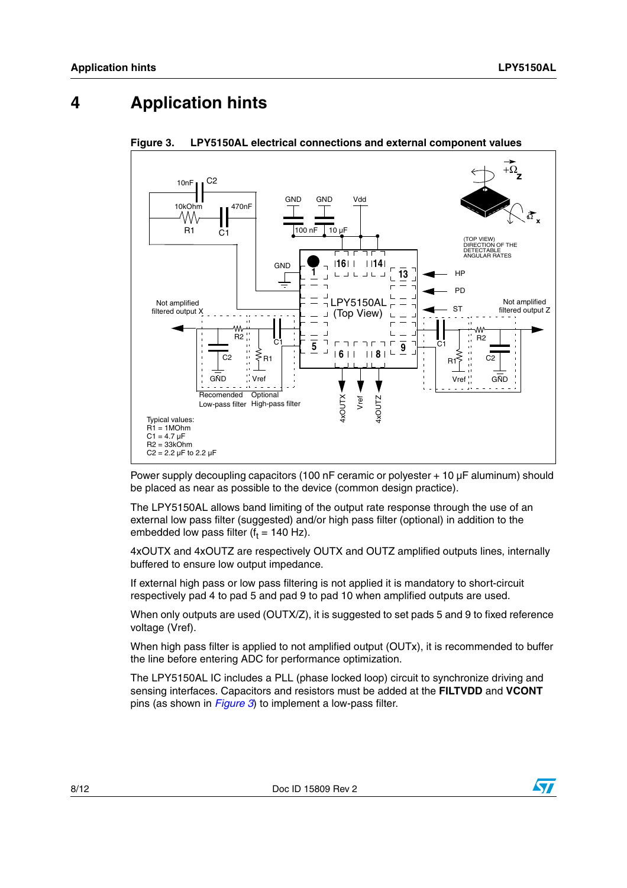## <span id="page-7-0"></span>**4 Application hints**



<span id="page-7-1"></span>**Figure 3. LPY5150AL electrical connections and external component values**

Power supply decoupling capacitors (100 nF ceramic or polyester + 10 µF aluminum) should be placed as near as possible to the device (common design practice).

The LPY5150AL allows band limiting of the output rate response through the use of an external low pass filter (suggested) and/or high pass filter (optional) in addition to the embedded low pass filter (f $_{\rm t}$  = 140 Hz).

4xOUTX and 4xOUTZ are respectively OUTX and OUTZ amplified outputs lines, internally buffered to ensure low output impedance.

If external high pass or low pass filtering is not applied it is mandatory to short-circuit respectively pad 4 to pad 5 and pad 9 to pad 10 when amplified outputs are used.

When only outputs are used (OUTX/Z), it is suggested to set pads 5 and 9 to fixed reference voltage (Vref).

When high pass filter is applied to not amplified output (OUTx), it is recommended to buffer the line before entering ADC for performance optimization.

The LPY5150AL IC includes a PLL (phase locked loop) circuit to synchronize driving and sensing interfaces. Capacitors and resistors must be added at the **FILTVDD** and **VCONT** pins (as shown in *[Figure 3](#page-7-1)*) to implement a low-pass filter.

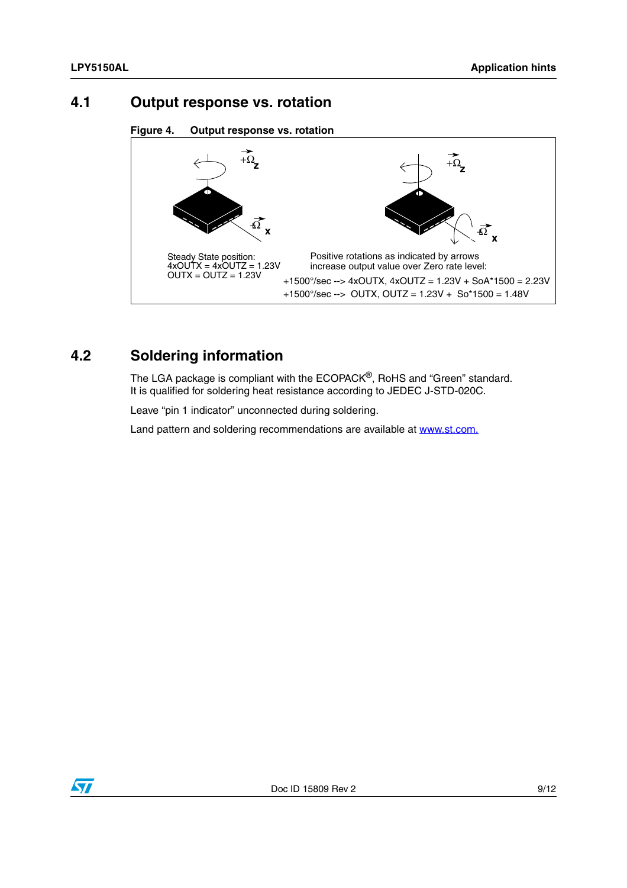#### <span id="page-8-0"></span>**4.1 Output response vs. rotation**

```
Figure 4. Output response vs. rotation
```


#### <span id="page-8-1"></span>**4.2 Soldering information**

The LGA package is compliant with the ECOPACK®, RoHS and "Green" standard. It is qualified for soldering heat resistance according to JEDEC J-STD-020C.

Leave "pin 1 indicator" unconnected during soldering.

Land pattern and soldering recommendations are available at www.st.com.

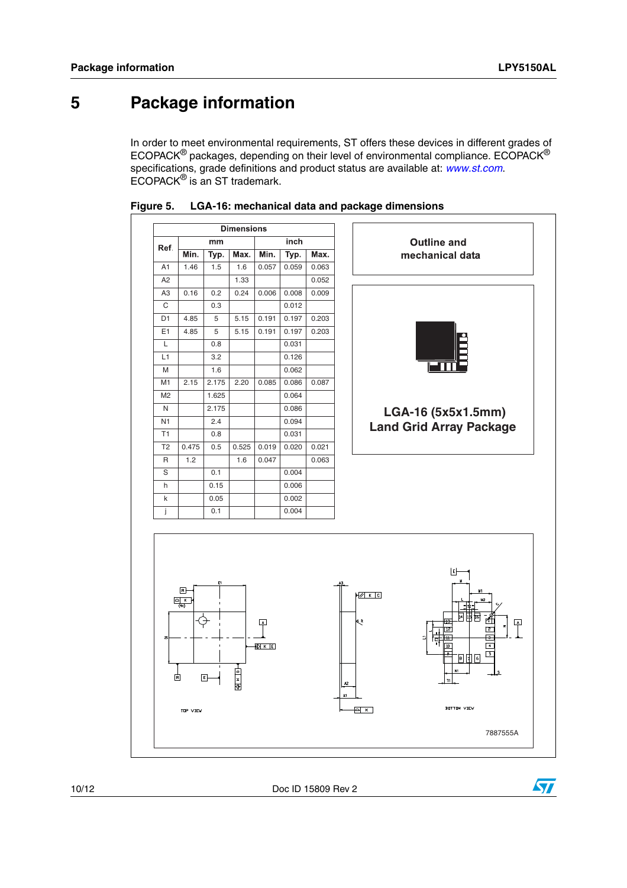### <span id="page-9-0"></span>**5 Package information**

In order to meet environmental requirements, ST offers these devices in different grades of ECOPACK® packages, depending on their level of environmental compliance. ECOPACK® specifications, grade definitions and product status are available at: *[www.st.com](http://www.st.com)*. ECOPACK® is an ST trademark.





10/12 Doc ID 15809 Rev 2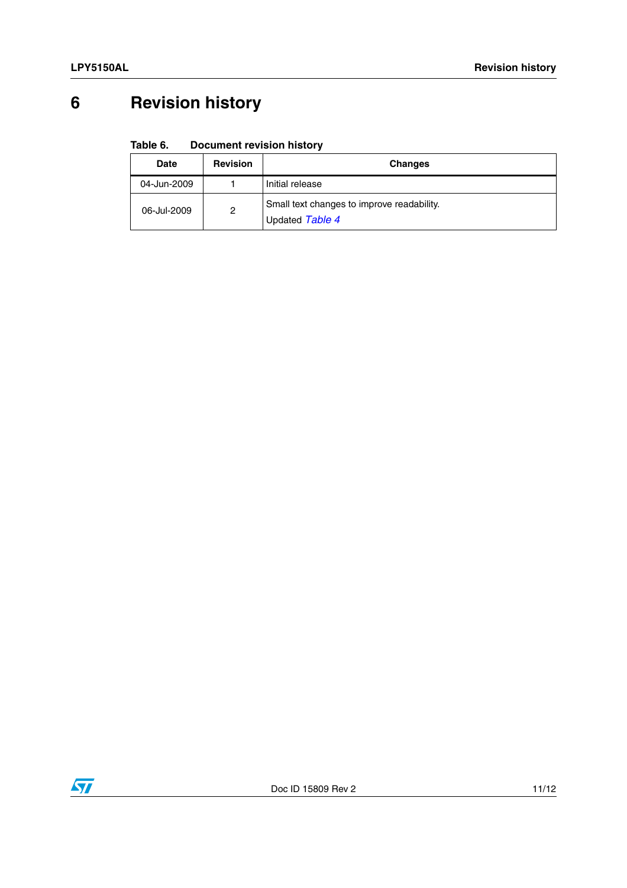# <span id="page-10-0"></span>**6 Revision history**

#### Table 6. **Document revision history**

| <b>Date</b> | <b>Revision</b> | <b>Changes</b>                                                |
|-------------|-----------------|---------------------------------------------------------------|
| 04-Jun-2009 |                 | Initial release                                               |
| 06-Jul-2009 | $\overline{c}$  | Small text changes to improve readability.<br>Updated Table 4 |